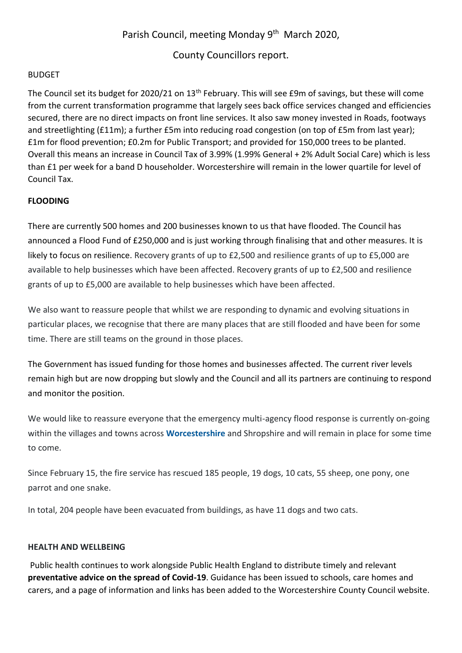# Parish Council, meeting Monday 9<sup>th</sup> March 2020,

## County Councillors report.

#### BUDGET

The Council set its budget for 2020/21 on 13<sup>th</sup> February. This will see £9m of savings, but these will come from the current transformation programme that largely sees back office services changed and efficiencies secured, there are no direct impacts on front line services. It also saw money invested in Roads, footways and streetlighting (£11m); a further £5m into reducing road congestion (on top of £5m from last year); £1m for flood prevention; £0.2m for Public Transport; and provided for 150,000 trees to be planted. Overall this means an increase in Council Tax of 3.99% (1.99% General + 2% Adult Social Care) which is less than £1 per week for a band D householder. Worcestershire will remain in the lower quartile for level of Council Tax.

## **FLOODING**

There are currently 500 homes and 200 businesses known to us that have flooded. The Council has announced a Flood Fund of £250,000 and is just working through finalising that and other measures. It is likely to focus on resilience. Recovery grants of up to £2,500 and resilience grants of up to £5,000 are available to help businesses which have been affected. Recovery grants of up to £2,500 and resilience grants of up to £5,000 are available to help businesses which have been affected.

We also want to reassure people that whilst we are responding to dynamic and evolving situations in particular places, we recognise that there are many places that are still flooded and have been for some time. There are still teams on the ground in those places.

The Government has issued funding for those homes and businesses affected. The current river levels remain high but are now dropping but slowly and the Council and all its partners are continuing to respond and monitor the position.

We would like to reassure everyone that the emergency multi-agency flood response is currently on-going within the villages and towns across **[Worcestershire](https://www.worcesternews.co.uk/news/regional/worcestershire/)** and Shropshire and will remain in place for some time to come.

Since February 15, the fire service has rescued 185 people, 19 dogs, 10 cats, 55 sheep, one pony, one parrot and one snake.

In total, 204 people have been evacuated from buildings, as have 11 dogs and two cats.

#### **HEALTH AND WELLBEING**

Public health continues to work alongside Public Health England to distribute timely and relevant **preventative advice on the spread of Covid-19**. Guidance has been issued to schools, care homes and carers, and a page of information and links has been added to the Worcestershire County Council website.